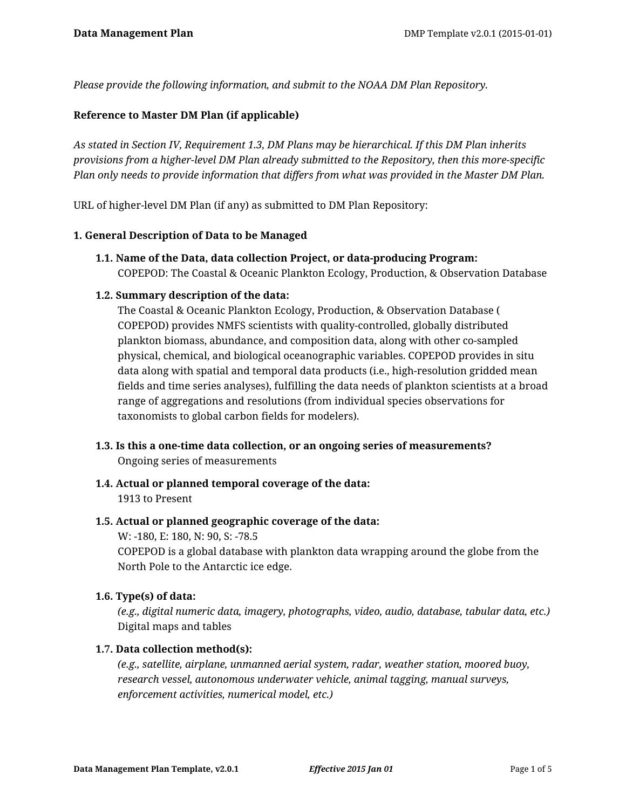*Please provide the following information, and submit to the NOAA DM Plan Repository.*

#### **Reference to Master DM Plan (if applicable)**

*As stated in Section IV, Requirement 1.3, DM Plans may be hierarchical. If this DM Plan inherits provisions from a higher-level DM Plan already submitted to the Repository, then this more-specific Plan only needs to provide information that differs from what was provided in the Master DM Plan.*

URL of higher-level DM Plan (if any) as submitted to DM Plan Repository:

#### **1. General Description of Data to be Managed**

**1.1. Name of the Data, data collection Project, or data-producing Program:** COPEPOD: The Coastal & Oceanic Plankton Ecology, Production, & Observation Database

#### **1.2. Summary description of the data:**

The Coastal & Oceanic Plankton Ecology, Production, & Observation Database ( COPEPOD) provides NMFS scientists with quality-controlled, globally distributed plankton biomass, abundance, and composition data, along with other co-sampled physical, chemical, and biological oceanographic variables. COPEPOD provides in situ data along with spatial and temporal data products (i.e., high-resolution gridded mean fields and time series analyses), fulfilling the data needs of plankton scientists at a broad range of aggregations and resolutions (from individual species observations for taxonomists to global carbon fields for modelers).

- **1.3. Is this a one-time data collection, or an ongoing series of measurements?** Ongoing series of measurements
- **1.4. Actual or planned temporal coverage of the data:** 1913 to Present

#### **1.5. Actual or planned geographic coverage of the data:**

W: -180, E: 180, N: 90, S: -78.5 COPEPOD is a global database with plankton data wrapping around the globe from the North Pole to the Antarctic ice edge.

#### **1.6. Type(s) of data:**

*(e.g., digital numeric data, imagery, photographs, video, audio, database, tabular data, etc.)* Digital maps and tables

#### **1.7. Data collection method(s):**

*(e.g., satellite, airplane, unmanned aerial system, radar, weather station, moored buoy, research vessel, autonomous underwater vehicle, animal tagging, manual surveys, enforcement activities, numerical model, etc.)*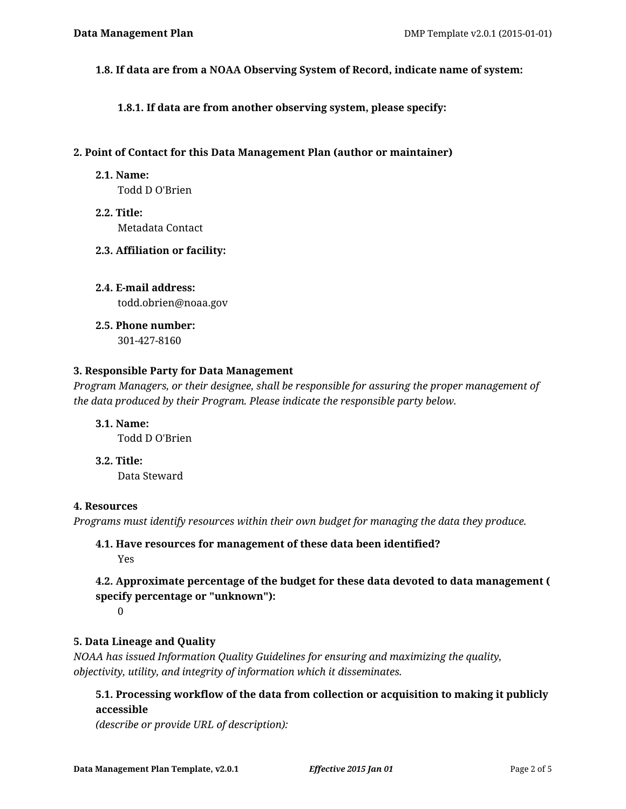**1.8. If data are from a NOAA Observing System of Record, indicate name of system:**

**1.8.1. If data are from another observing system, please specify:**

#### **2. Point of Contact for this Data Management Plan (author or maintainer)**

**2.1. Name:**

Todd D O'Brien

**2.2. Title:** Metadata Contact

#### **2.3. Affiliation or facility:**

**2.4. E-mail address:** todd.obrien@noaa.gov

**2.5. Phone number:** 301-427-8160

#### **3. Responsible Party for Data Management**

*Program Managers, or their designee, shall be responsible for assuring the proper management of the data produced by their Program. Please indicate the responsible party below.*

**3.1. Name:** Todd D O'Brien

**3.2. Title:** Data Steward

#### **4. Resources**

*Programs must identify resources within their own budget for managing the data they produce.*

#### **4.1. Have resources for management of these data been identified?** Yes

**4.2. Approximate percentage of the budget for these data devoted to data management ( specify percentage or "unknown"):**

0

# **5. Data Lineage and Quality**

*NOAA has issued Information Quality Guidelines for ensuring and maximizing the quality, objectivity, utility, and integrity of information which it disseminates.*

# **5.1. Processing workflow of the data from collection or acquisition to making it publicly accessible**

*(describe or provide URL of description):*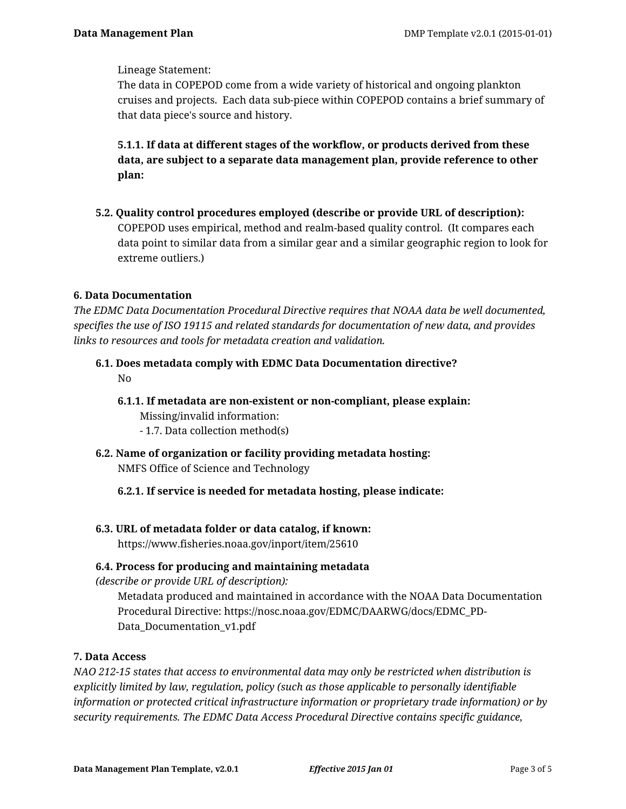Lineage Statement:

The data in COPEPOD come from a wide variety of historical and ongoing plankton cruises and projects. Each data sub-piece within COPEPOD contains a brief summary of that data piece's source and history.

# **5.1.1. If data at different stages of the workflow, or products derived from these data, are subject to a separate data management plan, provide reference to other plan:**

**5.2. Quality control procedures employed (describe or provide URL of description):** COPEPOD uses empirical, method and realm-based quality control. (It compares each data point to similar data from a similar gear and a similar geographic region to look for extreme outliers.)

#### **6. Data Documentation**

*The EDMC Data Documentation Procedural Directive requires that NOAA data be well documented, specifies the use of ISO 19115 and related standards for documentation of new data, and provides links to resources and tools for metadata creation and validation.*

# **6.1. Does metadata comply with EDMC Data Documentation directive?**

No

- **6.1.1. If metadata are non-existent or non-compliant, please explain:** Missing/invalid information: - 1.7. Data collection method(s)
- **6.2. Name of organization or facility providing metadata hosting:**

NMFS Office of Science and Technology

#### **6.2.1. If service is needed for metadata hosting, please indicate:**

**6.3. URL of metadata folder or data catalog, if known:**

https://www.fisheries.noaa.gov/inport/item/25610

#### **6.4. Process for producing and maintaining metadata**

*(describe or provide URL of description):*

Metadata produced and maintained in accordance with the NOAA Data Documentation Procedural Directive: https://nosc.noaa.gov/EDMC/DAARWG/docs/EDMC\_PD-Data\_Documentation\_v1.pdf

#### **7. Data Access**

*NAO 212-15 states that access to environmental data may only be restricted when distribution is explicitly limited by law, regulation, policy (such as those applicable to personally identifiable information or protected critical infrastructure information or proprietary trade information) or by security requirements. The EDMC Data Access Procedural Directive contains specific guidance,*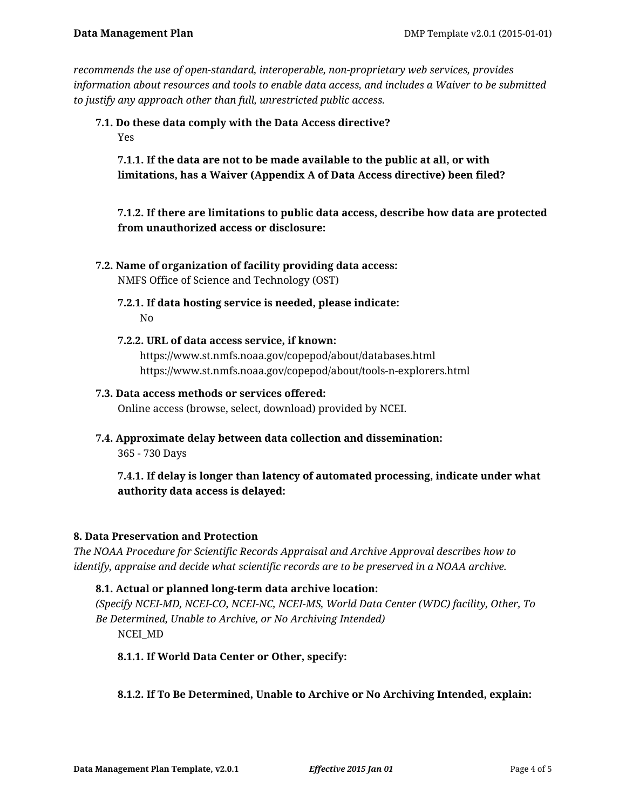*recommends the use of open-standard, interoperable, non-proprietary web services, provides information about resources and tools to enable data access, and includes a Waiver to be submitted to justify any approach other than full, unrestricted public access.*

#### **7.1. Do these data comply with the Data Access directive?** Yes

**7.1.1. If the data are not to be made available to the public at all, or with limitations, has a Waiver (Appendix A of Data Access directive) been filed?**

**7.1.2. If there are limitations to public data access, describe how data are protected from unauthorized access or disclosure:**

- **7.2. Name of organization of facility providing data access:** NMFS Office of Science and Technology (OST)
	- **7.2.1. If data hosting service is needed, please indicate:** No
	- **7.2.2. URL of data access service, if known:** https://www.st.nmfs.noaa.gov/copepod/about/databases.html https://www.st.nmfs.noaa.gov/copepod/about/tools-n-explorers.html

# **7.3. Data access methods or services offered:**

Online access (browse, select, download) provided by NCEI.

**7.4. Approximate delay between data collection and dissemination:**

365 - 730 Days

**7.4.1. If delay is longer than latency of automated processing, indicate under what authority data access is delayed:**

# **8. Data Preservation and Protection**

*The NOAA Procedure for Scientific Records Appraisal and Archive Approval describes how to identify, appraise and decide what scientific records are to be preserved in a NOAA archive.*

# **8.1. Actual or planned long-term data archive location:**

*(Specify NCEI-MD, NCEI-CO, NCEI-NC, NCEI-MS, World Data Center (WDC) facility, Other, To Be Determined, Unable to Archive, or No Archiving Intended)* NCEI\_MD

**8.1.1. If World Data Center or Other, specify:**

# **8.1.2. If To Be Determined, Unable to Archive or No Archiving Intended, explain:**